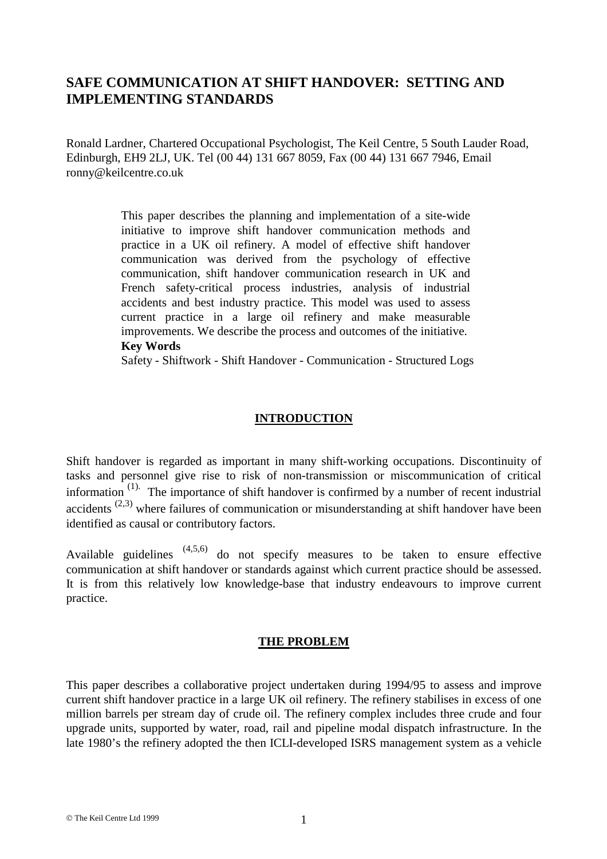# **SAFE COMMUNICATION AT SHIFT HANDOVER: SETTING AND IMPLEMENTING STANDARDS**

Ronald Lardner, Chartered Occupational Psychologist, The Keil Centre, 5 South Lauder Road, Edinburgh, EH9 2LJ, UK. Tel (00 44) 131 667 8059, Fax (00 44) 131 667 7946, Email ronny@keilcentre.co.uk

> This paper describes the planning and implementation of a site-wide initiative to improve shift handover communication methods and practice in a UK oil refinery. A model of effective shift handover communication was derived from the psychology of effective communication, shift handover communication research in UK and French safety-critical process industries, analysis of industrial accidents and best industry practice. This model was used to assess current practice in a large oil refinery and make measurable improvements. We describe the process and outcomes of the initiative. **Key Words**

> Safety - Shiftwork - Shift Handover - Communication - Structured Logs

#### **INTRODUCTION**

Shift handover is regarded as important in many shift-working occupations. Discontinuity of tasks and personnel give rise to risk of non-transmission or miscommunication of critical information<sup>(1).</sup> The importance of shift handover is confirmed by a number of recent industrial accidents<sup>(2,3)</sup> where failures of communication or misunderstanding at shift handover have been identified as causal or contributory factors.

Available guidelines  $(4,5,6)$  do not specify measures to be taken to ensure effective communication at shift handover or standards against which current practice should be assessed. It is from this relatively low knowledge-base that industry endeavours to improve current practice.

#### **THE PROBLEM**

This paper describes a collaborative project undertaken during 1994/95 to assess and improve current shift handover practice in a large UK oil refinery. The refinery stabilises in excess of one million barrels per stream day of crude oil. The refinery complex includes three crude and four upgrade units, supported by water, road, rail and pipeline modal dispatch infrastructure. In the late 1980's the refinery adopted the then ICLI-developed ISRS management system as a vehicle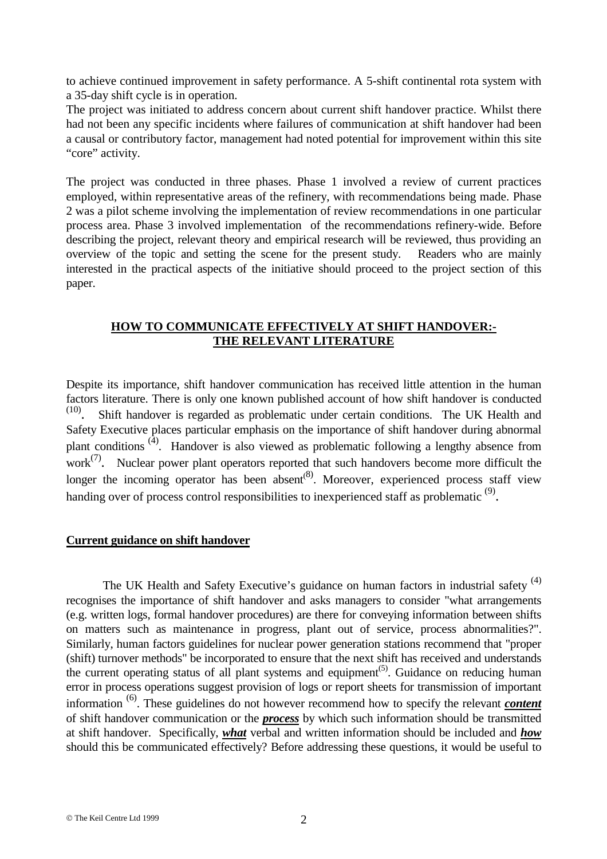to achieve continued improvement in safety performance. A 5-shift continental rota system with a 35-day shift cycle is in operation.

The project was initiated to address concern about current shift handover practice. Whilst there had not been any specific incidents where failures of communication at shift handover had been a causal or contributory factor, management had noted potential for improvement within this site "core" activity.

The project was conducted in three phases. Phase 1 involved a review of current practices employed, within representative areas of the refinery, with recommendations being made. Phase 2 was a pilot scheme involving the implementation of review recommendations in one particular process area. Phase 3 involved implementation of the recommendations refinery-wide. Before describing the project, relevant theory and empirical research will be reviewed, thus providing an overview of the topic and setting the scene for the present study. Readers who are mainly interested in the practical aspects of the initiative should proceed to the project section of this paper.

### **HOW TO COMMUNICATE EFFECTIVELY AT SHIFT HANDOVER:- THE RELEVANT LITERATURE**

Despite its importance, shift handover communication has received little attention in the human factors literature. There is only one known published account of how shift handover is conducted  $(10)$ . Shift handover is regarded as problematic under certain conditions. The UK Health and Safety Executive places particular emphasis on the importance of shift handover during abnormal plant conditions<sup>(4)</sup>. Handover is also viewed as problematic following a lengthy absence from work $<sup>(7)</sup>$ . Nuclear power plant operators reported that such handovers become more difficult the</sup> longer the incoming operator has been absent<sup>(8)</sup>. Moreover, experienced process staff view handing over of process control responsibilities to inexperienced staff as problematic  $(9)$ .

#### **Current guidance on shift handover**

The UK Health and Safety Executive's guidance on human factors in industrial safety<sup>(4)</sup> recognises the importance of shift handover and asks managers to consider "what arrangements (e.g. written logs, formal handover procedures) are there for conveying information between shifts on matters such as maintenance in progress, plant out of service, process abnormalities?". Similarly, human factors guidelines for nuclear power generation stations recommend that "proper (shift) turnover methods" be incorporated to ensure that the next shift has received and understands the current operating status of all plant systems and equipment<sup> $(5)$ </sup>. Guidance on reducing human error in process operations suggest provision of logs or report sheets for transmission of important information (6). These guidelines do not however recommend how to specify the relevant *content* of shift handover communication or the *process* by which such information should be transmitted at shift handover. Specifically, *what* verbal and written information should be included and *how* should this be communicated effectively? Before addressing these questions, it would be useful to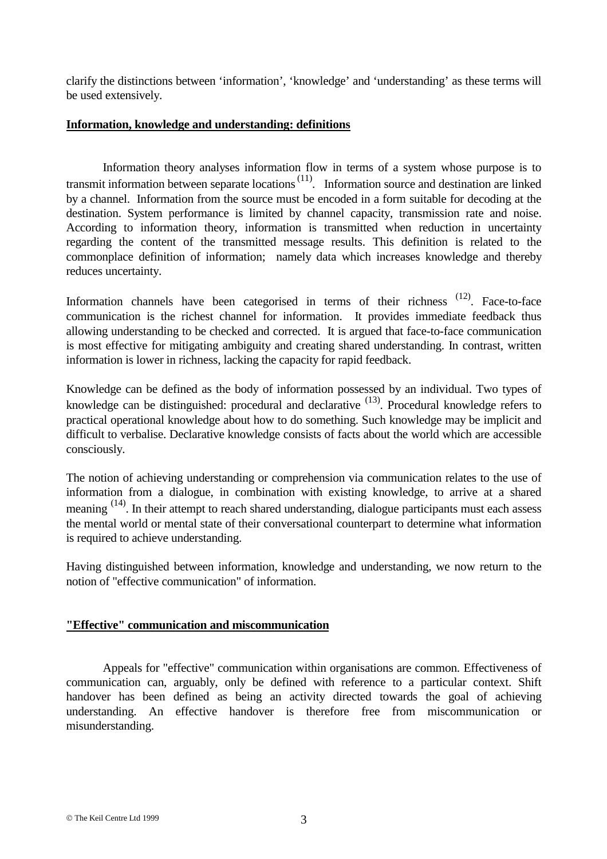clarify the distinctions between 'information', 'knowledge' and 'understanding' as these terms will be used extensively.

#### **Information, knowledge and understanding: definitions**

Information theory analyses information flow in terms of a system whose purpose is to transmit information between separate locations<sup> $(11)$ </sup>. Information source and destination are linked by a channel. Information from the source must be encoded in a form suitable for decoding at the destination. System performance is limited by channel capacity, transmission rate and noise. According to information theory, information is transmitted when reduction in uncertainty regarding the content of the transmitted message results. This definition is related to the commonplace definition of information; namely data which increases knowledge and thereby reduces uncertainty.

Information channels have been categorised in terms of their richness (12). Face-to-face communication is the richest channel for information. It provides immediate feedback thus allowing understanding to be checked and corrected. It is argued that face-to-face communication is most effective for mitigating ambiguity and creating shared understanding. In contrast, written information is lower in richness, lacking the capacity for rapid feedback.

Knowledge can be defined as the body of information possessed by an individual. Two types of knowledge can be distinguished: procedural and declarative  $(13)$ . Procedural knowledge refers to practical operational knowledge about how to do something. Such knowledge may be implicit and difficult to verbalise. Declarative knowledge consists of facts about the world which are accessible consciously.

The notion of achieving understanding or comprehension via communication relates to the use of information from a dialogue, in combination with existing knowledge, to arrive at a shared meaning <sup>(14)</sup>. In their attempt to reach shared understanding, dialogue participants must each assess the mental world or mental state of their conversational counterpart to determine what information is required to achieve understanding.

Having distinguished between information, knowledge and understanding, we now return to the notion of "effective communication" of information.

# **"Effective" communication and miscommunication**

Appeals for "effective" communication within organisations are common. Effectiveness of communication can, arguably, only be defined with reference to a particular context. Shift handover has been defined as being an activity directed towards the goal of achieving understanding. An effective handover is therefore free from miscommunication or misunderstanding.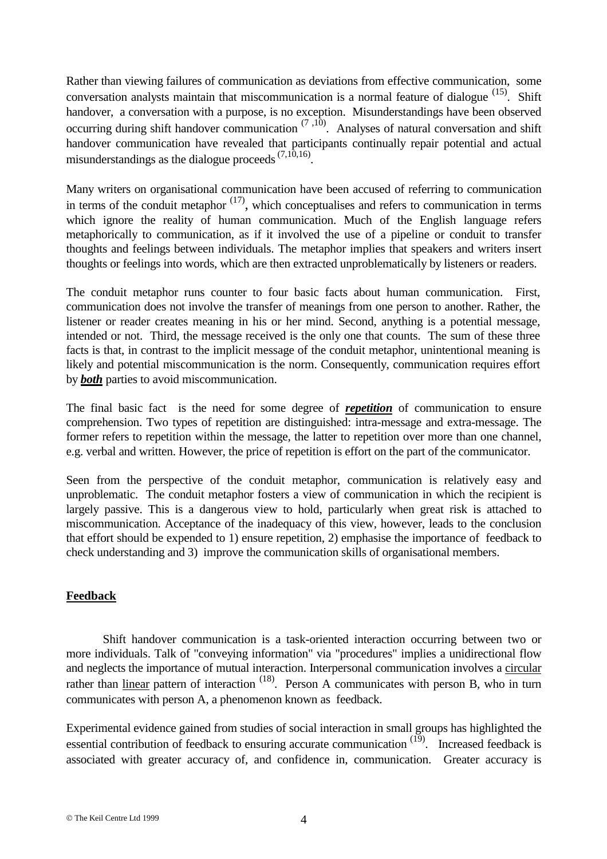Rather than viewing failures of communication as deviations from effective communication, some conversation analysts maintain that miscommunication is a normal feature of dialogue  $^{(15)}$ . Shift handover, a conversation with a purpose, is no exception. Misunderstandings have been observed occurring during shift handover communication  $(7,10)$ . Analyses of natural conversation and shift handover communication have revealed that participants continually repair potential and actual misunderstandings as the dialogue proceeds  $(7,10,16)$ .

Many writers on organisational communication have been accused of referring to communication in terms of the conduit metaphor  $(17)$ , which conceptualises and refers to communication in terms which ignore the reality of human communication. Much of the English language refers metaphorically to communication, as if it involved the use of a pipeline or conduit to transfer thoughts and feelings between individuals. The metaphor implies that speakers and writers insert thoughts or feelings into words, which are then extracted unproblematically by listeners or readers.

The conduit metaphor runs counter to four basic facts about human communication. First, communication does not involve the transfer of meanings from one person to another. Rather, the listener or reader creates meaning in his or her mind. Second, anything is a potential message, intended or not. Third, the message received is the only one that counts. The sum of these three facts is that, in contrast to the implicit message of the conduit metaphor, unintentional meaning is likely and potential miscommunication is the norm. Consequently, communication requires effort by *both* parties to avoid miscommunication.

The final basic fact is the need for some degree of *repetition* of communication to ensure comprehension. Two types of repetition are distinguished: intra-message and extra-message. The former refers to repetition within the message, the latter to repetition over more than one channel, e.g. verbal and written. However, the price of repetition is effort on the part of the communicator.

Seen from the perspective of the conduit metaphor, communication is relatively easy and unproblematic. The conduit metaphor fosters a view of communication in which the recipient is largely passive. This is a dangerous view to hold, particularly when great risk is attached to miscommunication. Acceptance of the inadequacy of this view, however, leads to the conclusion that effort should be expended to 1) ensure repetition, 2) emphasise the importance of feedback to check understanding and 3) improve the communication skills of organisational members.

# **Feedback**

Shift handover communication is a task-oriented interaction occurring between two or more individuals. Talk of "conveying information" via "procedures" implies a unidirectional flow and neglects the importance of mutual interaction. Interpersonal communication involves a circular rather than linear pattern of interaction  $(18)$ . Person A communicates with person B, who in turn communicates with person A, a phenomenon known as feedback.

Experimental evidence gained from studies of social interaction in small groups has highlighted the essential contribution of feedback to ensuring accurate communication  $\overline{^{(19)}}$ . Increased feedback is associated with greater accuracy of, and confidence in, communication. Greater accuracy is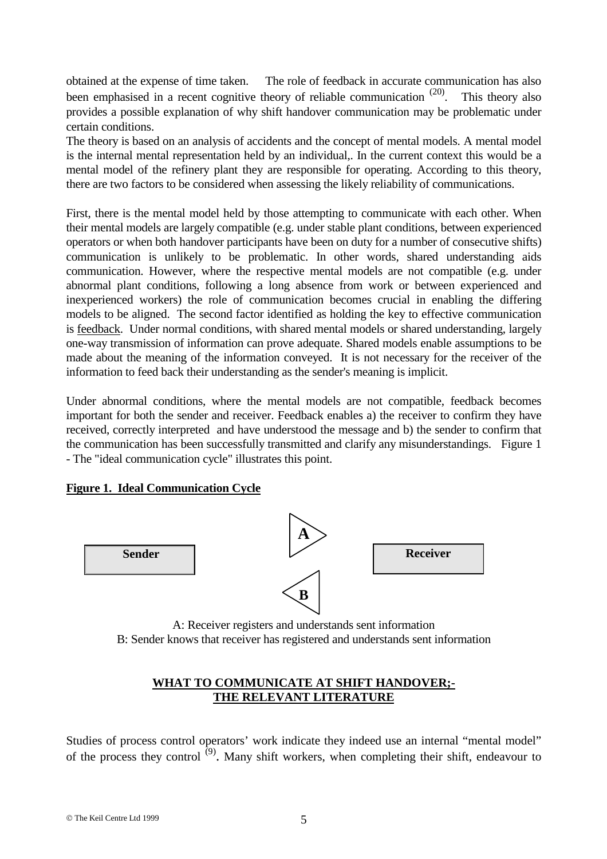obtained at the expense of time taken. The role of feedback in accurate communication has also been emphasised in a recent cognitive theory of reliable communication  $(20)$ . This theory also provides a possible explanation of why shift handover communication may be problematic under certain conditions.

The theory is based on an analysis of accidents and the concept of mental models. A mental model is the internal mental representation held by an individual,. In the current context this would be a mental model of the refinery plant they are responsible for operating. According to this theory, there are two factors to be considered when assessing the likely reliability of communications.

First, there is the mental model held by those attempting to communicate with each other. When their mental models are largely compatible (e.g. under stable plant conditions, between experienced operators or when both handover participants have been on duty for a number of consecutive shifts) communication is unlikely to be problematic. In other words, shared understanding aids communication. However, where the respective mental models are not compatible (e.g. under abnormal plant conditions, following a long absence from work or between experienced and inexperienced workers) the role of communication becomes crucial in enabling the differing models to be aligned. The second factor identified as holding the key to effective communication is feedback. Under normal conditions, with shared mental models or shared understanding, largely one-way transmission of information can prove adequate. Shared models enable assumptions to be made about the meaning of the information conveyed. It is not necessary for the receiver of the information to feed back their understanding as the sender's meaning is implicit.

Under abnormal conditions, where the mental models are not compatible, feedback becomes important for both the sender and receiver. Feedback enables a) the receiver to confirm they have received, correctly interpreted and have understood the message and b) the sender to confirm that the communication has been successfully transmitted and clarify any misunderstandings. Figure 1 - The "ideal communication cycle" illustrates this point.

# **Figure 1. Ideal Communication Cycle**



A: Receiver registers and understands sent information B: Sender knows that receiver has registered and understands sent information

# **WHAT TO COMMUNICATE AT SHIFT HANDOVER;- THE RELEVANT LITERATURE**

Studies of process control operators' work indicate they indeed use an internal "mental model" of the process they control  $^{(9)}$ . Many shift workers, when completing their shift, endeavour to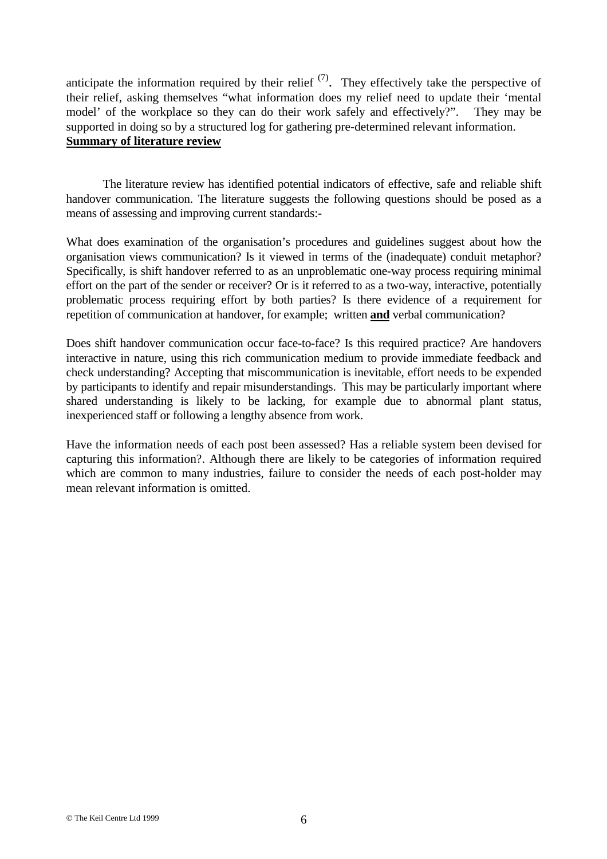anticipate the information required by their relief  $(7)$ . They effectively take the perspective of their relief, asking themselves "what information does my relief need to update their 'mental model' of the workplace so they can do their work safely and effectively?". They may be supported in doing so by a structured log for gathering pre-determined relevant information. **Summary of literature review**

The literature review has identified potential indicators of effective, safe and reliable shift handover communication. The literature suggests the following questions should be posed as a means of assessing and improving current standards:-

What does examination of the organisation's procedures and guidelines suggest about how the organisation views communication? Is it viewed in terms of the (inadequate) conduit metaphor? Specifically, is shift handover referred to as an unproblematic one-way process requiring minimal effort on the part of the sender or receiver? Or is it referred to as a two-way, interactive, potentially problematic process requiring effort by both parties? Is there evidence of a requirement for repetition of communication at handover, for example; written **and** verbal communication?

Does shift handover communication occur face-to-face? Is this required practice? Are handovers interactive in nature, using this rich communication medium to provide immediate feedback and check understanding? Accepting that miscommunication is inevitable, effort needs to be expended by participants to identify and repair misunderstandings. This may be particularly important where shared understanding is likely to be lacking, for example due to abnormal plant status, inexperienced staff or following a lengthy absence from work.

Have the information needs of each post been assessed? Has a reliable system been devised for capturing this information?. Although there are likely to be categories of information required which are common to many industries, failure to consider the needs of each post-holder may mean relevant information is omitted.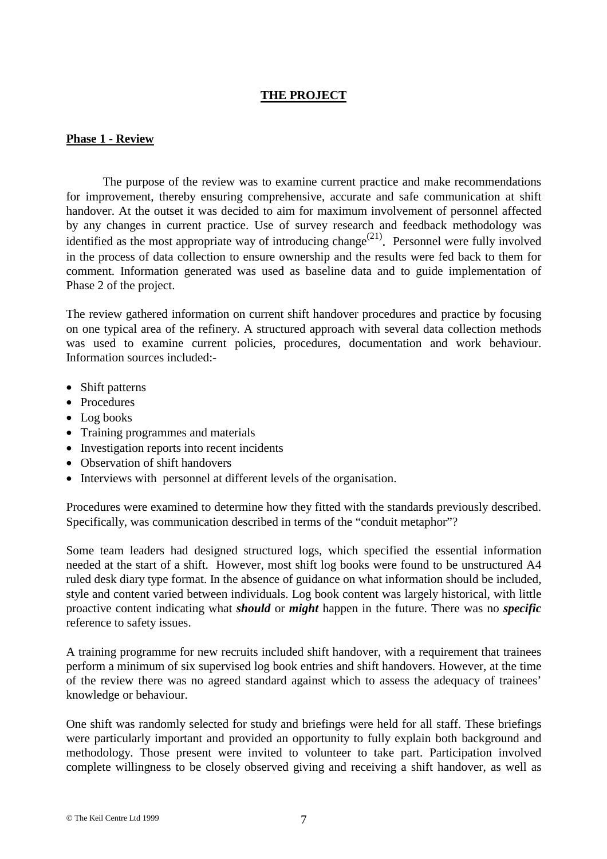# **THE PROJECT**

#### **Phase 1 - Review**

The purpose of the review was to examine current practice and make recommendations for improvement, thereby ensuring comprehensive, accurate and safe communication at shift handover. At the outset it was decided to aim for maximum involvement of personnel affected by any changes in current practice. Use of survey research and feedback methodology was identified as the most appropriate way of introducing change<sup> $(21)$ </sup>. Personnel were fully involved in the process of data collection to ensure ownership and the results were fed back to them for comment. Information generated was used as baseline data and to guide implementation of Phase 2 of the project.

The review gathered information on current shift handover procedures and practice by focusing on one typical area of the refinery. A structured approach with several data collection methods was used to examine current policies, procedures, documentation and work behaviour. Information sources included:-

- Shift patterns
- Procedures
- Log books
- Training programmes and materials
- Investigation reports into recent incidents
- Observation of shift handovers
- Interviews with personnel at different levels of the organisation.

Procedures were examined to determine how they fitted with the standards previously described. Specifically, was communication described in terms of the "conduit metaphor"?

Some team leaders had designed structured logs, which specified the essential information needed at the start of a shift. However, most shift log books were found to be unstructured A4 ruled desk diary type format. In the absence of guidance on what information should be included, style and content varied between individuals. Log book content was largely historical, with little proactive content indicating what *should* or *might* happen in the future. There was no *specific* reference to safety issues.

A training programme for new recruits included shift handover, with a requirement that trainees perform a minimum of six supervised log book entries and shift handovers. However, at the time of the review there was no agreed standard against which to assess the adequacy of trainees' knowledge or behaviour.

One shift was randomly selected for study and briefings were held for all staff. These briefings were particularly important and provided an opportunity to fully explain both background and methodology. Those present were invited to volunteer to take part. Participation involved complete willingness to be closely observed giving and receiving a shift handover, as well as

© The Keil Centre Ltd 1999 7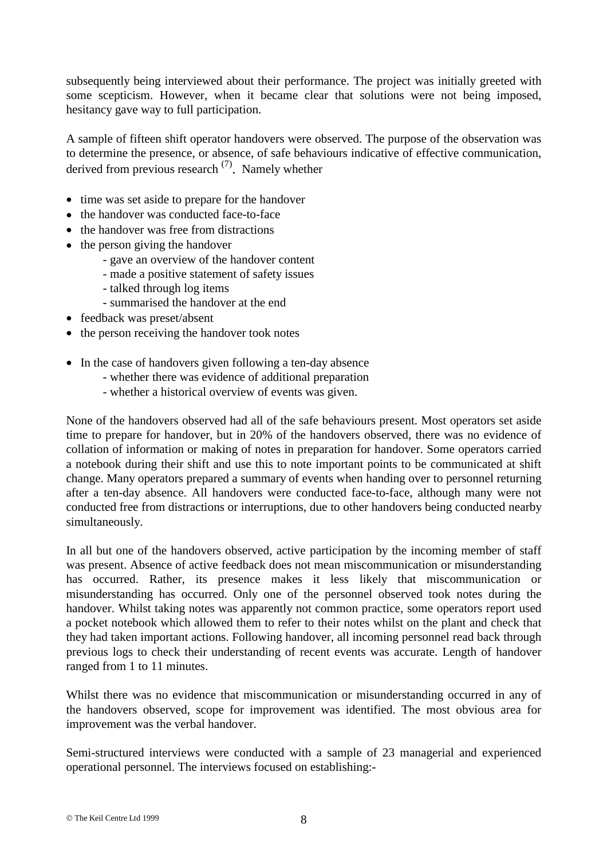subsequently being interviewed about their performance. The project was initially greeted with some scepticism. However, when it became clear that solutions were not being imposed, hesitancy gave way to full participation.

A sample of fifteen shift operator handovers were observed. The purpose of the observation was to determine the presence, or absence, of safe behaviours indicative of effective communication, derived from previous research  $(7)$ . Namely whether

- time was set aside to prepare for the handover
- the handover was conducted face-to-face
- the handover was free from distractions
- the person giving the handover
	- gave an overview of the handover content
	- made a positive statement of safety issues
	- talked through log items
	- summarised the handover at the end
- feedback was preset/absent
- the person receiving the handover took notes
- In the case of handovers given following a ten-day absence
	- whether there was evidence of additional preparation
	- whether a historical overview of events was given.

None of the handovers observed had all of the safe behaviours present. Most operators set aside time to prepare for handover, but in 20% of the handovers observed, there was no evidence of collation of information or making of notes in preparation for handover. Some operators carried a notebook during their shift and use this to note important points to be communicated at shift change. Many operators prepared a summary of events when handing over to personnel returning after a ten-day absence. All handovers were conducted face-to-face, although many were not conducted free from distractions or interruptions, due to other handovers being conducted nearby simultaneously.

In all but one of the handovers observed, active participation by the incoming member of staff was present. Absence of active feedback does not mean miscommunication or misunderstanding has occurred. Rather, its presence makes it less likely that miscommunication or misunderstanding has occurred. Only one of the personnel observed took notes during the handover. Whilst taking notes was apparently not common practice, some operators report used a pocket notebook which allowed them to refer to their notes whilst on the plant and check that they had taken important actions. Following handover, all incoming personnel read back through previous logs to check their understanding of recent events was accurate. Length of handover ranged from 1 to 11 minutes.

Whilst there was no evidence that miscommunication or misunderstanding occurred in any of the handovers observed, scope for improvement was identified. The most obvious area for improvement was the verbal handover.

Semi-structured interviews were conducted with a sample of 23 managerial and experienced operational personnel. The interviews focused on establishing:-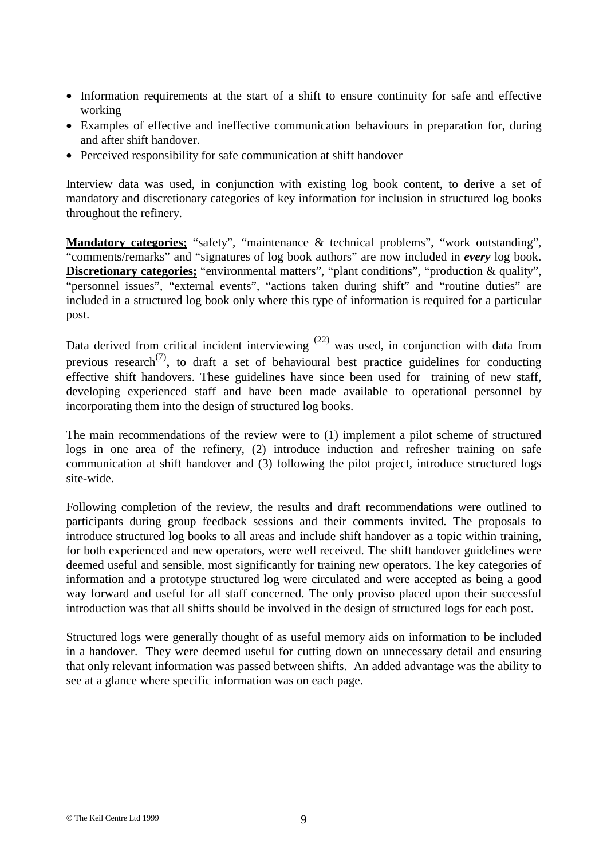- Information requirements at the start of a shift to ensure continuity for safe and effective working
- Examples of effective and ineffective communication behaviours in preparation for, during and after shift handover.
- Perceived responsibility for safe communication at shift handover

Interview data was used, in conjunction with existing log book content, to derive a set of mandatory and discretionary categories of key information for inclusion in structured log books throughout the refinery.

**Mandatory categories;** "safety", "maintenance & technical problems", "work outstanding", "comments/remarks" and "signatures of log book authors" are now included in *every* log book. **Discretionary categories;** "environmental matters", "plant conditions", "production & quality", "personnel issues", "external events", "actions taken during shift" and "routine duties" are included in a structured log book only where this type of information is required for a particular post.

Data derived from critical incident interviewing  $(22)$  was used, in conjunction with data from previous research<sup> $(7)$ </sup>, to draft a set of behavioural best practice guidelines for conducting effective shift handovers. These guidelines have since been used for training of new staff, developing experienced staff and have been made available to operational personnel by incorporating them into the design of structured log books.

The main recommendations of the review were to (1) implement a pilot scheme of structured logs in one area of the refinery, (2) introduce induction and refresher training on safe communication at shift handover and (3) following the pilot project, introduce structured logs site-wide.

Following completion of the review, the results and draft recommendations were outlined to participants during group feedback sessions and their comments invited. The proposals to introduce structured log books to all areas and include shift handover as a topic within training, for both experienced and new operators, were well received. The shift handover guidelines were deemed useful and sensible, most significantly for training new operators. The key categories of information and a prototype structured log were circulated and were accepted as being a good way forward and useful for all staff concerned. The only proviso placed upon their successful introduction was that all shifts should be involved in the design of structured logs for each post.

Structured logs were generally thought of as useful memory aids on information to be included in a handover. They were deemed useful for cutting down on unnecessary detail and ensuring that only relevant information was passed between shifts. An added advantage was the ability to see at a glance where specific information was on each page.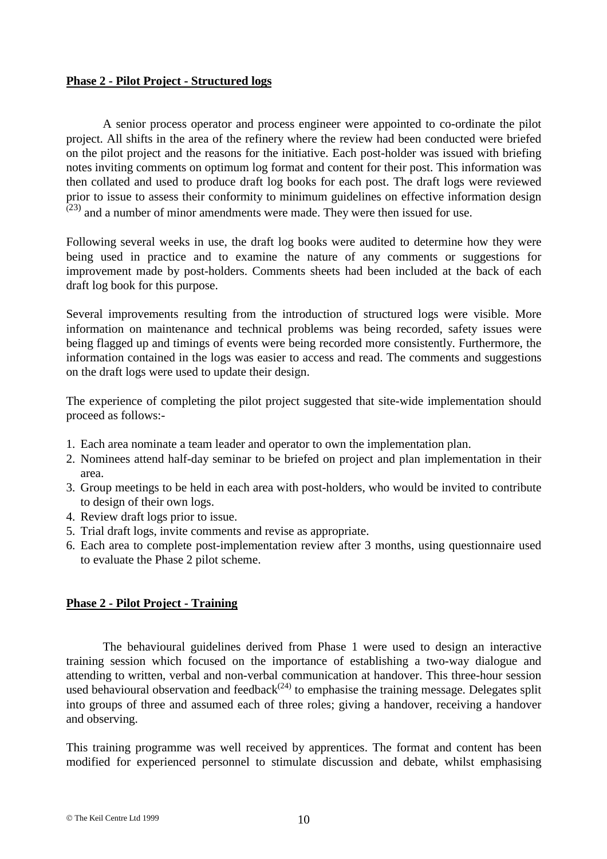#### **Phase 2 - Pilot Project - Structured logs**

A senior process operator and process engineer were appointed to co-ordinate the pilot project. All shifts in the area of the refinery where the review had been conducted were briefed on the pilot project and the reasons for the initiative. Each post-holder was issued with briefing notes inviting comments on optimum log format and content for their post. This information was then collated and used to produce draft log books for each post. The draft logs were reviewed prior to issue to assess their conformity to minimum guidelines on effective information design  $(23)$  and a number of minor amendments were made. They were then issued for use.

Following several weeks in use, the draft log books were audited to determine how they were being used in practice and to examine the nature of any comments or suggestions for improvement made by post-holders. Comments sheets had been included at the back of each draft log book for this purpose.

Several improvements resulting from the introduction of structured logs were visible. More information on maintenance and technical problems was being recorded, safety issues were being flagged up and timings of events were being recorded more consistently. Furthermore, the information contained in the logs was easier to access and read. The comments and suggestions on the draft logs were used to update their design.

The experience of completing the pilot project suggested that site-wide implementation should proceed as follows:-

- 1. Each area nominate a team leader and operator to own the implementation plan.
- 2. Nominees attend half-day seminar to be briefed on project and plan implementation in their area.
- 3. Group meetings to be held in each area with post-holders, who would be invited to contribute to design of their own logs.
- 4. Review draft logs prior to issue.
- 5. Trial draft logs, invite comments and revise as appropriate.
- 6. Each area to complete post-implementation review after 3 months, using questionnaire used to evaluate the Phase 2 pilot scheme.

# **Phase 2 - Pilot Project - Training**

The behavioural guidelines derived from Phase 1 were used to design an interactive training session which focused on the importance of establishing a two-way dialogue and attending to written, verbal and non-verbal communication at handover. This three-hour session used behavioural observation and feedback<sup> $(24)$ </sup> to emphasise the training message. Delegates split into groups of three and assumed each of three roles; giving a handover, receiving a handover and observing.

This training programme was well received by apprentices. The format and content has been modified for experienced personnel to stimulate discussion and debate, whilst emphasising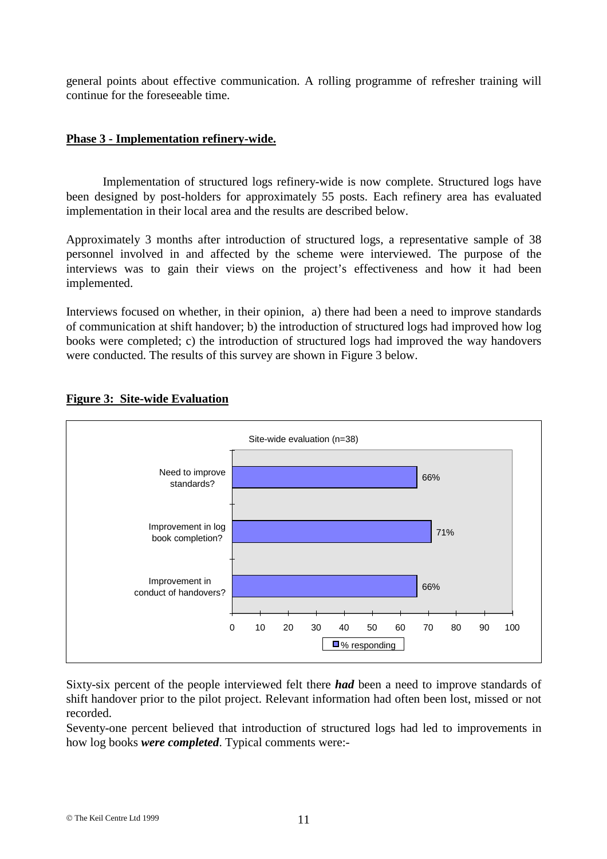general points about effective communication. A rolling programme of refresher training will continue for the foreseeable time.

### **Phase 3 - Implementation refinery-wide.**

Implementation of structured logs refinery-wide is now complete. Structured logs have been designed by post-holders for approximately 55 posts. Each refinery area has evaluated implementation in their local area and the results are described below.

Approximately 3 months after introduction of structured logs, a representative sample of 38 personnel involved in and affected by the scheme were interviewed. The purpose of the interviews was to gain their views on the project's effectiveness and how it had been implemented.

Interviews focused on whether, in their opinion, a) there had been a need to improve standards of communication at shift handover; b) the introduction of structured logs had improved how log books were completed; c) the introduction of structured logs had improved the way handovers were conducted. The results of this survey are shown in Figure 3 below.



# **Figure 3: Site-wide Evaluation**

Sixty-six percent of the people interviewed felt there *had* been a need to improve standards of shift handover prior to the pilot project. Relevant information had often been lost, missed or not recorded.

Seventy-one percent believed that introduction of structured logs had led to improvements in how log books *were completed*. Typical comments were:-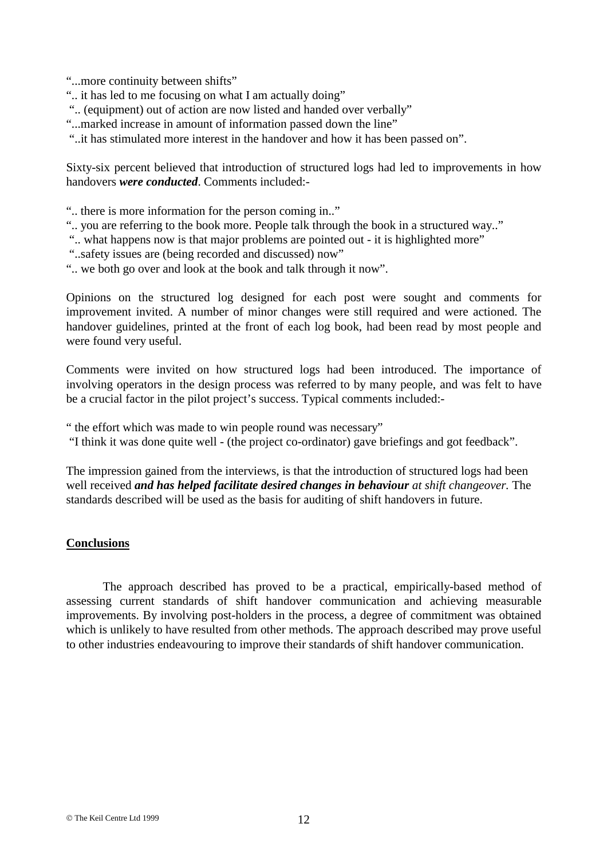"...more continuity between shifts"

- ".. it has led to me focusing on what I am actually doing"
- ".. (equipment) out of action are now listed and handed over verbally"
- "...marked increase in amount of information passed down the line"

"..it has stimulated more interest in the handover and how it has been passed on".

Sixty-six percent believed that introduction of structured logs had led to improvements in how handovers *were conducted*. Comments included:-

- ".. there is more information for the person coming in.."
- ".. you are referring to the book more. People talk through the book in a structured way.."
- ".. what happens now is that major problems are pointed out it is highlighted more"
- "..safety issues are (being recorded and discussed) now"
- ".. we both go over and look at the book and talk through it now".

Opinions on the structured log designed for each post were sought and comments for improvement invited. A number of minor changes were still required and were actioned. The handover guidelines, printed at the front of each log book, had been read by most people and were found very useful.

Comments were invited on how structured logs had been introduced. The importance of involving operators in the design process was referred to by many people, and was felt to have be a crucial factor in the pilot project's success. Typical comments included:-

" the effort which was made to win people round was necessary"

"I think it was done quite well - (the project co-ordinator) gave briefings and got feedback".

The impression gained from the interviews, is that the introduction of structured logs had been well received *and has helped facilitate desired changes in behaviour at shift changeover.* The standards described will be used as the basis for auditing of shift handovers in future.

#### **Conclusions**

The approach described has proved to be a practical, empirically-based method of assessing current standards of shift handover communication and achieving measurable improvements. By involving post-holders in the process, a degree of commitment was obtained which is unlikely to have resulted from other methods. The approach described may prove useful to other industries endeavouring to improve their standards of shift handover communication.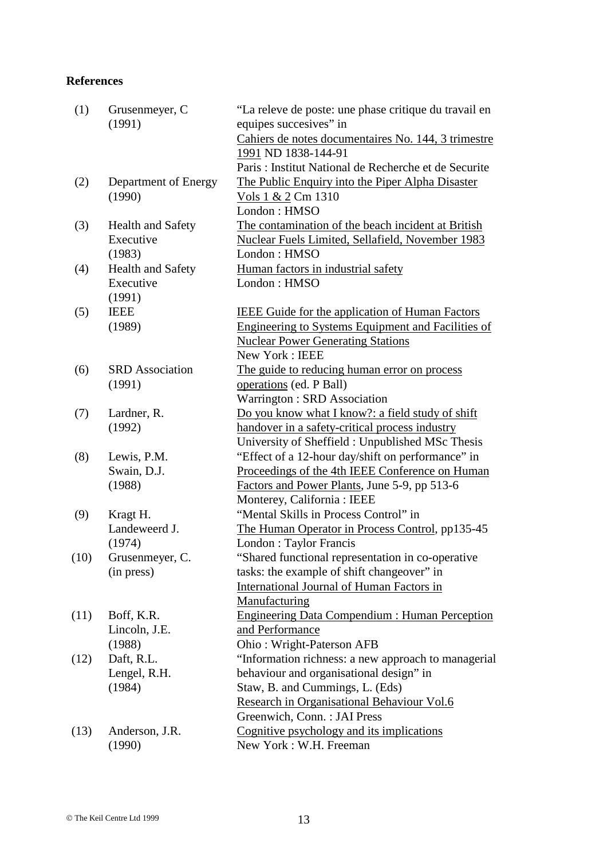#### **References**

| (1)  | Grusenmeyer, C<br>(1991) | "La releve de poste: une phase critique du travail en<br>equipes succesives" in |
|------|--------------------------|---------------------------------------------------------------------------------|
|      |                          | Cahiers de notes documentaires No. 144, 3 trimestre<br>1991 ND 1838-144-91      |
|      |                          | Paris: Institut National de Recherche et de Securite                            |
| (2)  | Department of Energy     | The Public Enquiry into the Piper Alpha Disaster                                |
|      | (1990)                   | Vols 1 & 2 Cm 1310                                                              |
|      |                          | London: HMSO                                                                    |
| (3)  | <b>Health and Safety</b> | The contamination of the beach incident at British                              |
|      | Executive                | <b>Nuclear Fuels Limited, Sellafield, November 1983</b>                         |
|      | (1983)                   | London: HMSO                                                                    |
| (4)  | <b>Health and Safety</b> | Human factors in industrial safety                                              |
|      | Executive                | London: HMSO                                                                    |
|      | (1991)                   |                                                                                 |
| (5)  | <b>IEEE</b>              | <b>IEEE Guide for the application of Human Factors</b>                          |
|      | (1989)                   | <b>Engineering to Systems Equipment and Facilities of</b>                       |
|      |                          | <b>Nuclear Power Generating Stations</b>                                        |
|      |                          | New York: IEEE                                                                  |
| (6)  | <b>SRD</b> Association   | The guide to reducing human error on process                                    |
|      | (1991)                   | operations (ed. P Ball)                                                         |
|      |                          | Warrington: SRD Association                                                     |
| (7)  | Lardner, R.              | Do you know what I know?: a field study of shift                                |
|      | (1992)                   | handover in a safety-critical process industry                                  |
|      |                          | University of Sheffield: Unpublished MSc Thesis                                 |
| (8)  | Lewis, P.M.              | "Effect of a 12-hour day/shift on performance" in                               |
|      | Swain, D.J.              | Proceedings of the 4th IEEE Conference on Human                                 |
|      | (1988)                   | Factors and Power Plants, June 5-9, pp 513-6                                    |
|      |                          | Monterey, California: IEEE                                                      |
| (9)  | Kragt H.                 | "Mental Skills in Process Control" in                                           |
|      | Landeweerd J.            | The Human Operator in Process Control, pp135-45                                 |
|      | (1974)                   | London : Taylor Francis                                                         |
| (10) | Grusenmeyer, C.          | "Shared functional representation in co-operative"                              |
|      | (in press)               | tasks: the example of shift changeover" in                                      |
|      |                          | International Journal of Human Factors in                                       |
|      |                          | Manufacturing                                                                   |
| (11) | Boff, K.R.               | <b>Engineering Data Compendium: Human Perception</b>                            |
|      | Lincoln, J.E.            | and Performance                                                                 |
|      | (1988)                   | Ohio: Wright-Paterson AFB                                                       |
| (12) | Daft, R.L.               | "Information richness: a new approach to managerial                             |
|      | Lengel, R.H.             | behaviour and organisational design" in                                         |
|      | (1984)                   | Staw, B. and Cummings, L. (Eds)                                                 |
|      |                          | Research in Organisational Behaviour Vol.6                                      |
|      |                          | Greenwich, Conn.: JAI Press                                                     |
| (13) | Anderson, J.R.           | Cognitive psychology and its implications                                       |
|      | (1990)                   | New York: W.H. Freeman                                                          |